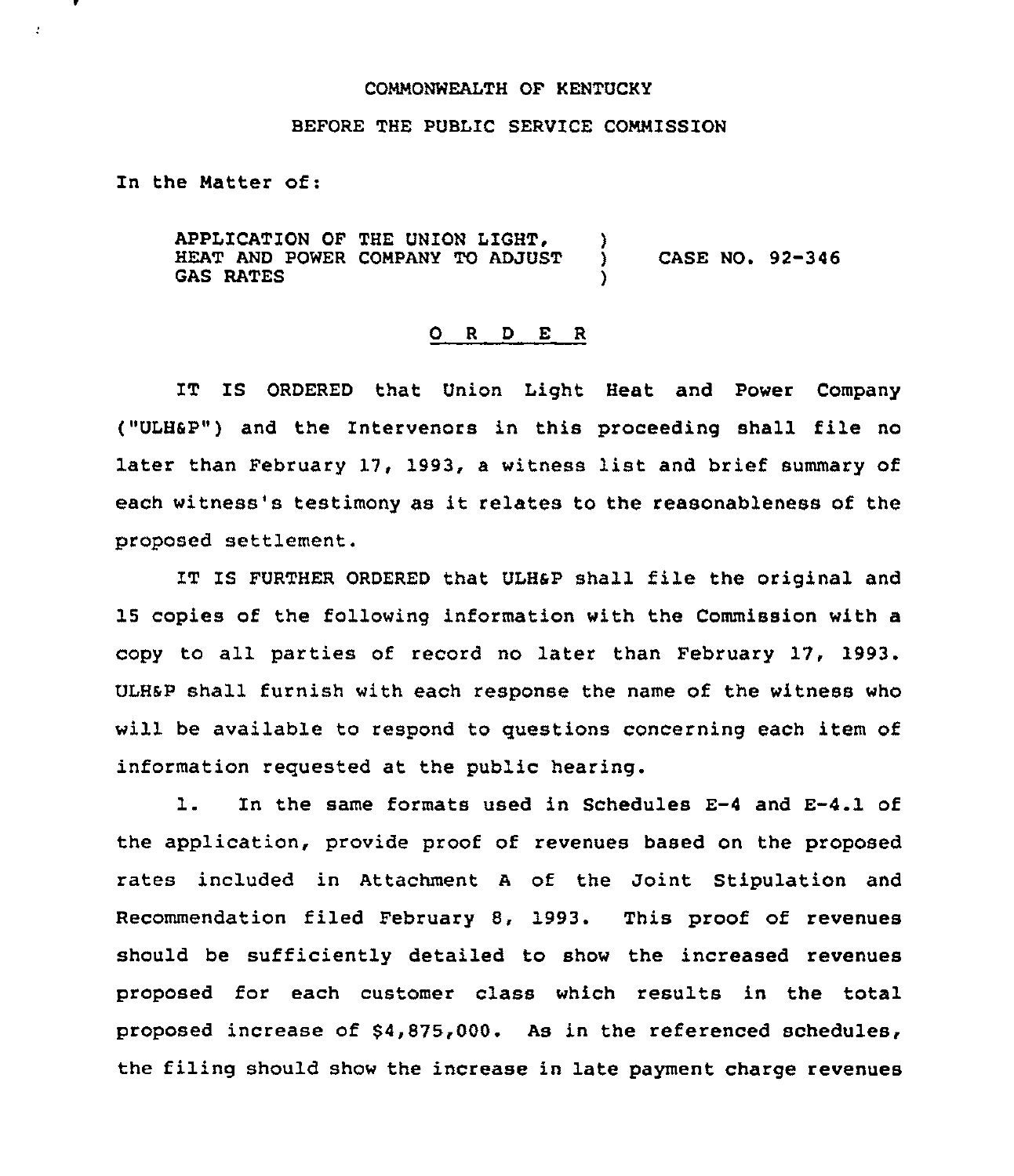## COMMONWEALTH OF KENTUCKY

## BEFORE THE PUBLIC SERVICE COMMISSION

In the Matter of:

 $\mathbf{r}$ 

APPLICATION OF THE UNION LIGHT,  $\left\{\right.\right.$  ) HEAT AND POWER COMPANY TO ADJUST HEAT AND POWER COMPANY TO ADJUST **GAS RATES** CASE NO. 92-346

## 0 <sup>R</sup> <sup>D</sup> E <sup>R</sup>

IT IS ORDERED that Union Light Heat and Power Company ("ULHSP") and the Intervenors in this proceeding shall file no later than February 17, 1993, <sup>a</sup> witness list and brief summary of each witness's testimony as it relates to the reasonableness of the proposed settlement.

IT IS FURTHER ORDERED that ULHsP shall file the original and 15 copies of the following information with the Commission with a copy to all parties of record no later than February 17, 1993. ULHsP shall furnish with each response the name of the witness who will be available to respond to questions concerning each item of information requested at the public hearing.

l. In the same formats used in Schedules E-4 and E-4.1 of the application, provide proof of revenues based on the proposed rates included in Attachment <sup>A</sup> of the Joint Stipulation and Recommendation filed February 8, 1993. This proof of revenues should be sufficiently detailed to show the increased revenues proposed for each customer class which results in the total proposed increase of \$4,875,000. As in the referenced schedules, the filing should show the increase in late payment charge revenues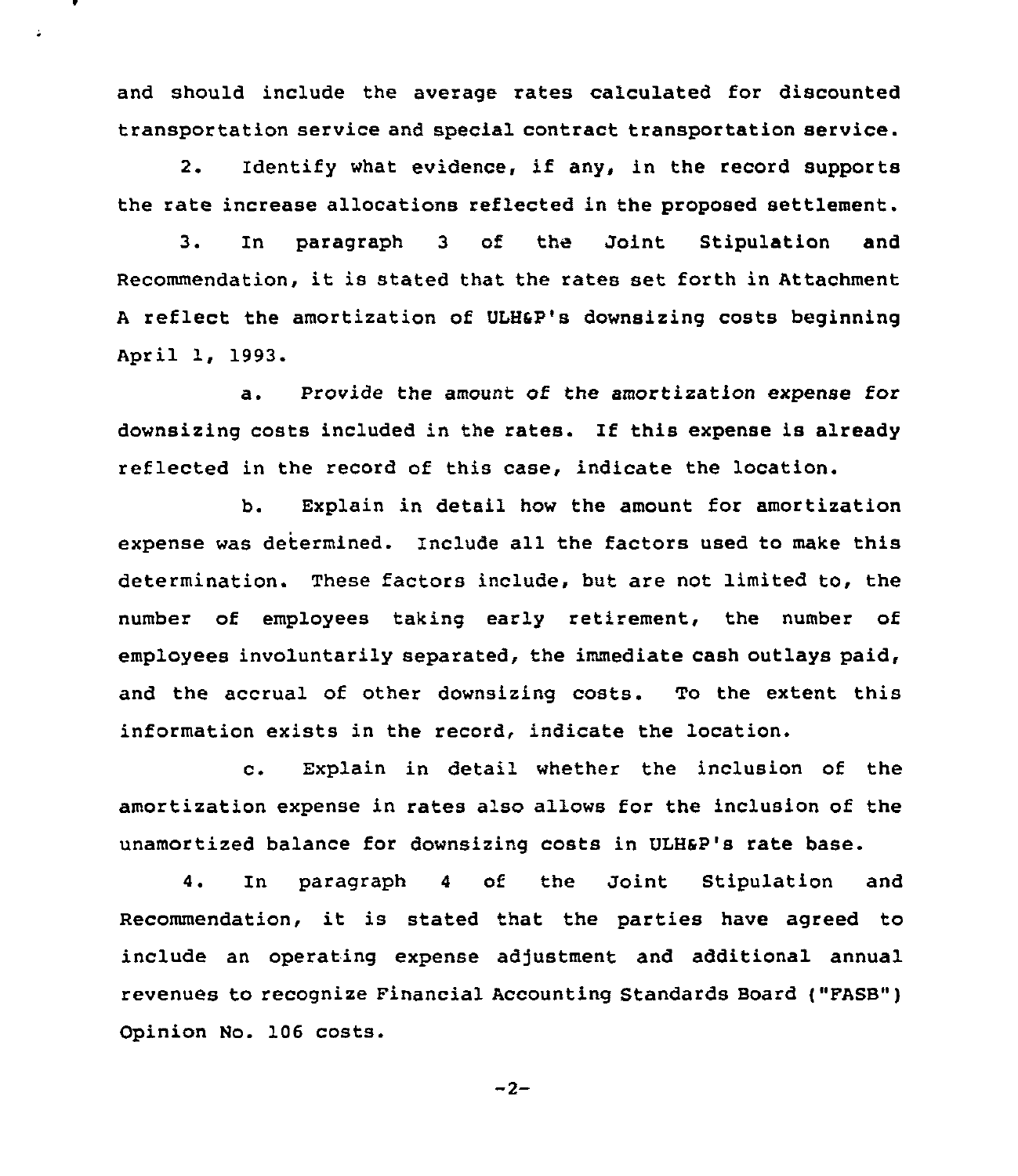and should include the average rates calculated for discounted transportation service and special contract transportation service.

2. Identify what evidence, if any, in the record supports the rate increase allocations reflected in the proposed settlement.

3. In paragraph <sup>3</sup> of the Joint Stipulation and Recommendation, it is stated that the rates set forth in Attachment <sup>A</sup> reflect the amortization of ULHsp's downsizing costs beginning April 1, 1993.

a. Provide the amount of the amortization expense for downsizing costs included in the rates. If this expense is already reflected in the record of this case, indicate the location.

b. Explain in detail how the amount for amortization expense was determined. Include all the factors used to make this determination. These factors include, but are not limited to, the number of employees taking early retirement, the number of employees involuntarily separated, the immediate cash outlays paid, and the accrual of other downsizing costs. To the extent this information exists in the record, indicate the location.

c. Explain in detail whether the inclusion of the amortization expense in rates also allows for the inclusion of the unamortized balance for downsizing costs in ULHSP's rate base.

4. In paragraph <sup>4</sup> of the Joint Stipulation and Recommendation, it is stated that the parties have agreed to include an operating expense adjustment and additional annual revenues to recognize Financial Accounting Standards Board ("FASB") Opinion No. 106 costs.

$$
-2-
$$